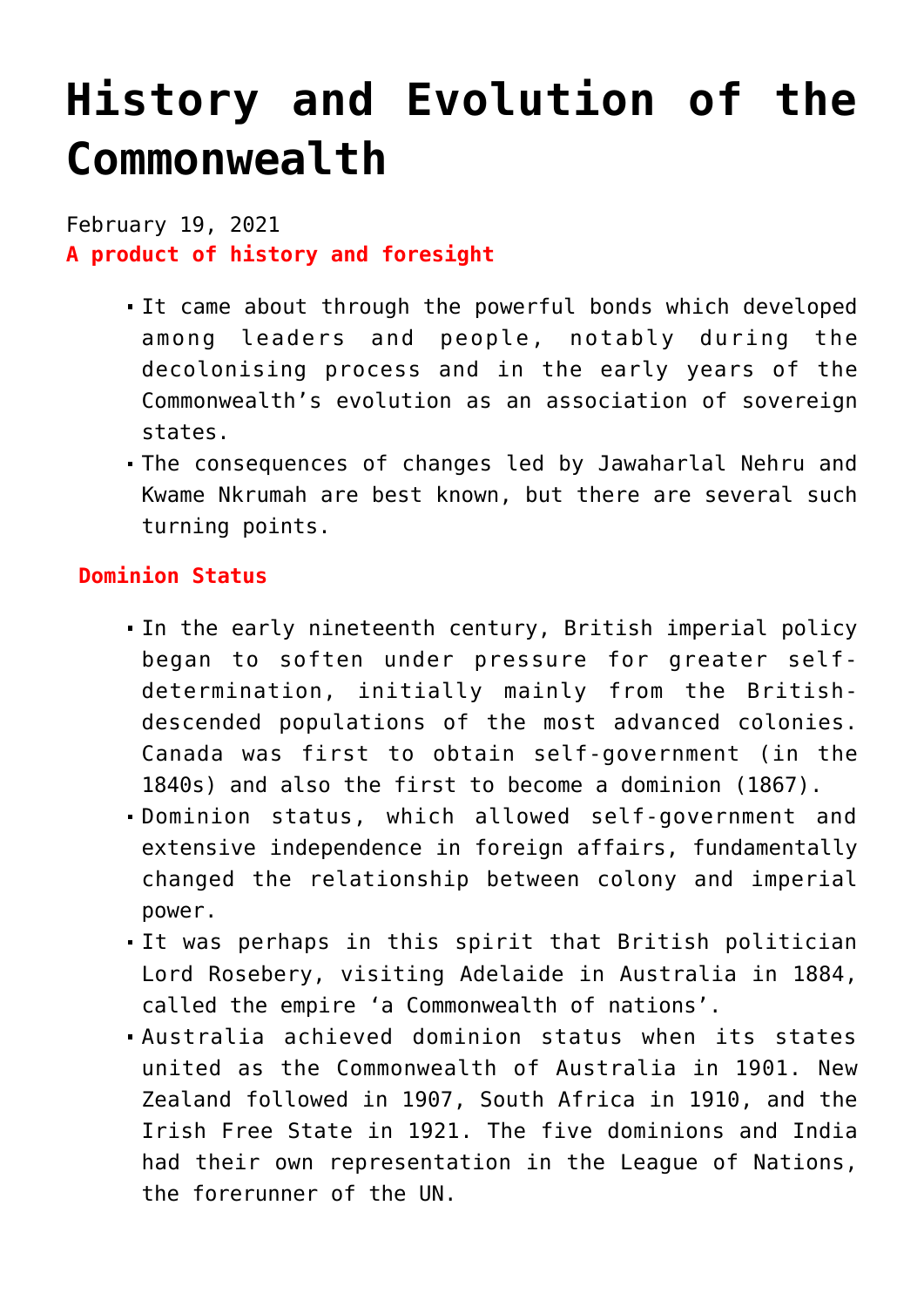## **[History and Evolution of the](https://journalsofindia.com/history-and-evolution-of-the-commonwealth/) [Commonwealth](https://journalsofindia.com/history-and-evolution-of-the-commonwealth/)**

February 19, 2021 **A product of history and foresight**

- It came about through the powerful bonds which developed among leaders and people, notably during the decolonising process and in the early years of the Commonwealth's evolution as an association of sovereign states.
- The consequences of changes led by Jawaharlal Nehru and Kwame Nkrumah are best known, but there are several such turning points.

## **Dominion Status**

- In the early nineteenth century, British imperial policy began to soften under pressure for greater selfdetermination, initially mainly from the Britishdescended populations of the most advanced colonies. Canada was first to obtain self-government (in the 1840s) and also the first to become a dominion (1867).
- Dominion status, which allowed self-government and extensive independence in foreign affairs, fundamentally changed the relationship between colony and imperial power.
- It was perhaps in this spirit that British politician Lord Rosebery, visiting Adelaide in Australia in 1884, called the empire 'a Commonwealth of nations'.
- Australia achieved dominion status when its states united as the Commonwealth of Australia in 1901. New Zealand followed in 1907, South Africa in 1910, and the Irish Free State in 1921. The five dominions and India had their own representation in the League of Nations, the forerunner of the UN.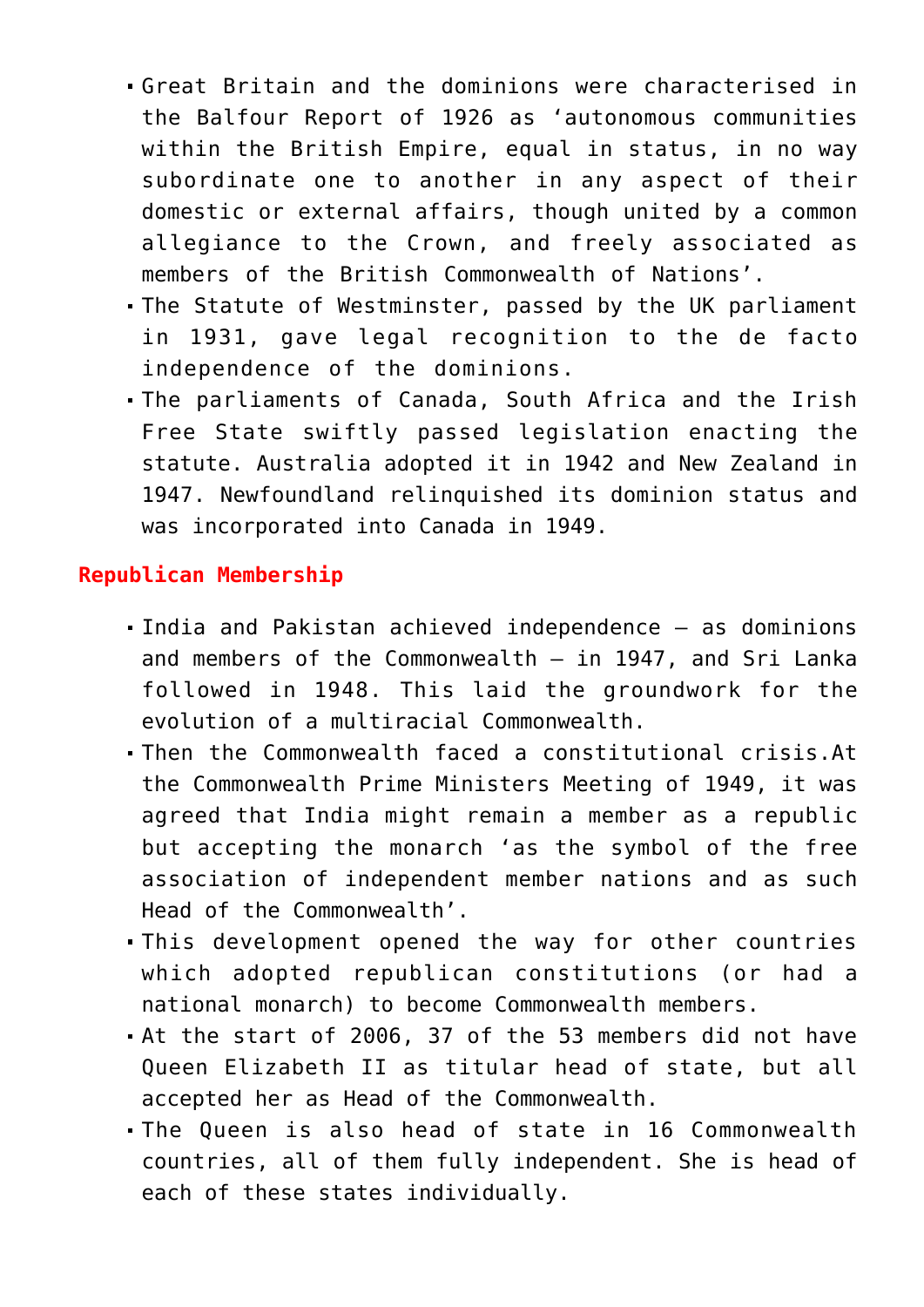- Great Britain and the dominions were characterised in the Balfour Report of 1926 as 'autonomous communities within the British Empire, equal in status, in no way subordinate one to another in any aspect of their domestic or external affairs, though united by a common allegiance to the Crown, and freely associated as members of the British Commonwealth of Nations'.
- The Statute of Westminster, passed by the UK parliament in 1931, gave legal recognition to the de facto independence of the dominions.
- The parliaments of Canada, South Africa and the Irish Free State swiftly passed legislation enacting the statute. Australia adopted it in 1942 and New Zealand in 1947. Newfoundland relinquished its dominion status and was incorporated into Canada in 1949.

## **Republican Membership**

- India and Pakistan achieved independence as dominions and members of the Commonwealth  $-$  in 1947, and Sri Lanka followed in 1948. This laid the groundwork for the evolution of a multiracial Commonwealth.
- Then the Commonwealth faced a constitutional crisis.At the Commonwealth Prime Ministers Meeting of 1949, it was agreed that India might remain a member as a republic but accepting the monarch 'as the symbol of the free association of independent member nations and as such Head of the Commonwealth'.
- This development opened the way for other countries which adopted republican constitutions (or had a national monarch) to become Commonwealth members.
- At the start of 2006, 37 of the 53 members did not have Queen Elizabeth II as titular head of state, but all accepted her as Head of the Commonwealth.
- The Queen is also head of state in 16 Commonwealth countries, all of them fully independent. She is head of each of these states individually.